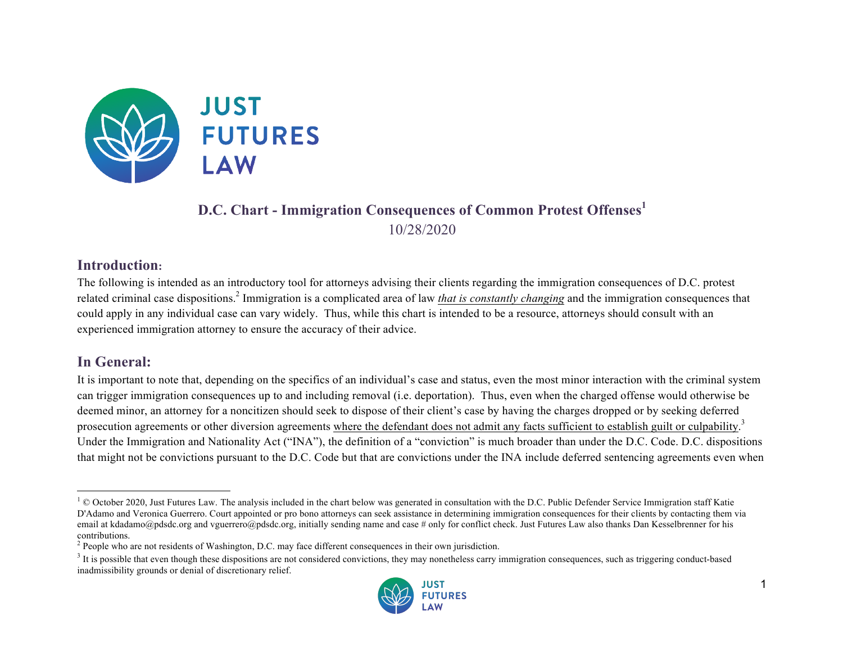

# **D.C. Chart - Immigration Consequences of Common Protest Offenses<sup>1</sup>** 10/28/2020

#### **Introduction:**

The following is intended as an introductory tool for attorneys advising their clients regarding the immigration consequences of D.C. protest related criminal case dispositions.<sup>2</sup> Immigration is a complicated area of law *that is constantly changing* and the immigration consequences that could apply in any individual case can vary widely. Thus, while this chart is intended to be a resource, attorneys should consult with an experienced immigration attorney to ensure the accuracy of their advice.

### **In General:**

It is important to note that, depending on the specifics of an individual's case and status, even the most minor interaction with the criminal system can trigger immigration consequences up to and including removal (i.e. deportation). Thus, even when the charged offense would otherwise be deemed minor, an attorney for a noncitizen should seek to dispose of their client's case by having the charges dropped or by seeking deferred prosecution agreements or other diversion agreements where the defendant does not admit any facts sufficient to establish guilt or culpability.<sup>3</sup> Under the Immigration and Nationality Act ("INA"), the definition of a "conviction" is much broader than under the D.C. Code. D.C. dispositions that might not be convictions pursuant to the D.C. Code but that are convictions under the INA include deferred sentencing agreements even when

 $3$  It is possible that even though these dispositions are not considered convictions, they may nonetheless carry immigration consequences, such as triggering conduct-based inadmissibility grounds or denial of discretionary relief.



 $\overline{a}$  $1 \textdegree$  October 2020, Just Futures Law. The analysis included in the chart below was generated in consultation with the D.C. Public Defender Service Immigration staff Katie D'Adamo and Veronica Guerrero. Court appointed or pro bono attorneys can seek assistance in determining immigration consequences for their clients by contacting them via email at kdadamo@pdsdc.org and vguerrero@pdsdc.org, initially sending name and case # only for conflict check. Just Futures Law also thanks Dan Kesselbrenner for his contributions.

<sup>&</sup>lt;sup>2</sup> People who are not residents of Washington, D.C. may face different consequences in their own jurisdiction.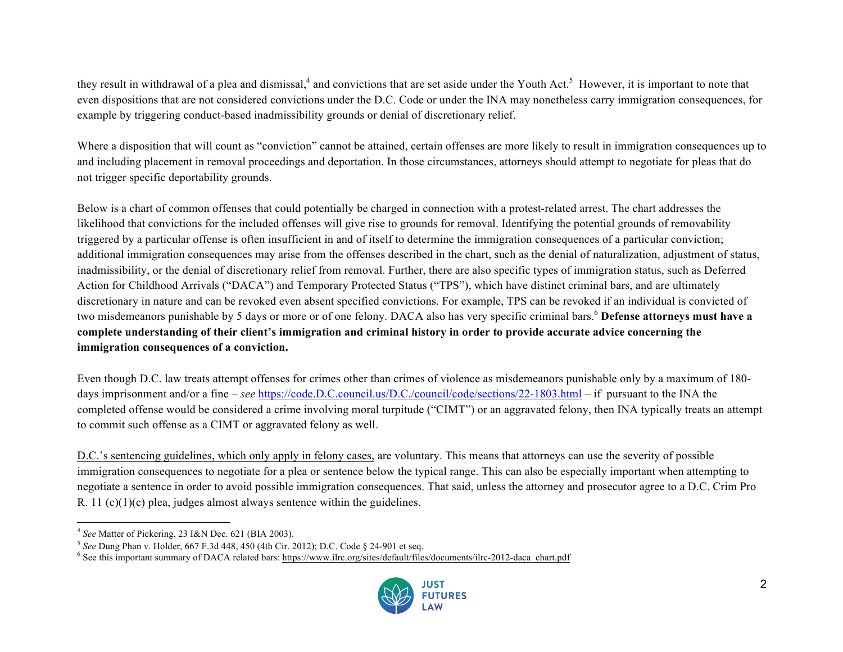they result in withdrawal of a plea and dismissal,<sup>4</sup> and convictions that are set aside under the Youth Act.<sup>5</sup> However, it is important to note that even dispositions that are not considered convictions under the D.C. Code or under the INA may nonetheless carry immigration consequences, for example by triggering conduct-based inadmissibility grounds or denial of discretionary relief.

Where a disposition that will count as "conviction" cannot be attained, certain offenses are more likely to result in immigration consequences up to and including placement in removal proceedings and deportation. In those circumstances, attorneys should attempt to negotiate for pleas that do not trigger specific deportability grounds.

Below is a chart of common offenses that could potentially be charged in connection with a protest-related arrest. The chart addresses the likelihood that convictions for the included offenses will give rise to grounds for removal. Identifying the potential grounds of removability triggered by a particular offense is often insufficient in and of itself to determine the immigration consequences of a particular conviction; additional immigration consequences may arise from the offenses described in the chart, such as the denial of naturalization, adjustment of status, inadmissibility, or the denial of discretionary relief from removal. Further, there are also specific types of immigration status, such as Deferred Action for Childhood Arrivals ("DACA") and Temporary Protected Status ("TPS"), which have distinct criminal bars, and are ultimately discretionary in nature and can be revoked even absent specified convictions. For example, TPS can be revoked if an individual is convicted of two misdemeanors punishable by 5 days or more or of one felony. DACA also has very specific criminal bars. <sup>6</sup> **Defense attorneys must have a complete understanding of their client's immigration and criminal history in order to provide accurate advice concerning the immigration consequences of a conviction.**

Even though D.C. law treats attempt offenses for crimes other than crimes of violence as misdemeanors punishable only by a maximum of 180 days imprisonment and/or a fine – *see* https://code.D.C.council.us/D.C./council/code/sections/22-1803.html – if pursuant to the INA the completed offense would be considered a crime involving moral turpitude ("CIMT") or an aggravated felony, then INA typically treats an attempt to commit such offense as a CIMT or aggravated felony as well.

D.C.'s sentencing guidelines, which only apply in felony cases, are voluntary. This means that attorneys can use the severity of possible immigration consequences to negotiate for a plea or sentence below the typical range. This can also be especially important when attempting to negotiate a sentence in order to avoid possible immigration consequences. That said, unless the attorney and prosecutor agree to a D.C. Crim Pro R. 11  $(c)(1)(c)$  plea, judges almost always sentence within the guidelines.

<sup>&</sup>lt;sup>6</sup> See this important summary of DACA related bars: https://www.ilrc.org/sites/default/files/documents/ilrc-2012-daca\_chart.pdf



<sup>4</sup> *See* Matter of Pickering, 23 I&N Dec. 621 (BIA 2003).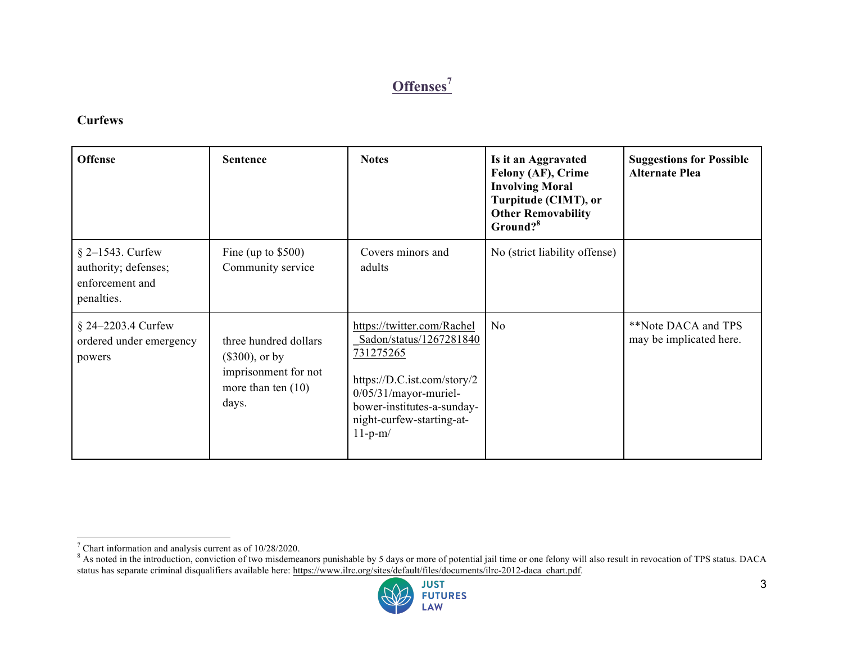# **Offenses<sup>7</sup>**

#### **Curfews**

| <b>Offense</b>                                                              | <b>Sentence</b>                                                                                     | <b>Notes</b>                                                                                                                                                                                         | Is it an Aggravated<br>Felony (AF), Crime<br><b>Involving Moral</b><br>Turpitude (CIMT), or<br><b>Other Removability</b><br>Ground? <sup>8</sup> | <b>Suggestions for Possible</b><br><b>Alternate Plea</b> |
|-----------------------------------------------------------------------------|-----------------------------------------------------------------------------------------------------|------------------------------------------------------------------------------------------------------------------------------------------------------------------------------------------------------|--------------------------------------------------------------------------------------------------------------------------------------------------|----------------------------------------------------------|
| $§$ 2–1543. Curfew<br>authority; defenses;<br>enforcement and<br>penalties. | Fine (up to $$500$ )<br>Community service                                                           | Covers minors and<br>adults                                                                                                                                                                          | No (strict liability offense)                                                                                                                    |                                                          |
| $§$ 24–2203.4 Curfew<br>ordered under emergency<br>powers                   | three hundred dollars<br>$(\$300)$ , or by<br>imprisonment for not<br>more than ten $(10)$<br>days. | https://twitter.com/Rachel<br>Sadon/status/1267281840<br>731275265<br>https://D.C.ist.com/story/2<br>$0/05/31/mayor-muriel-$<br>bower-institutes-a-sunday-<br>night-curfew-starting-at-<br>$11-p-m/$ | N <sub>0</sub>                                                                                                                                   | **Note DACA and TPS<br>may be implicated here.           |

<sup>&</sup>lt;sup>8</sup> As noted in the introduction, conviction of two misdemeanors punishable by 5 days or more of potential jail time or one felony will also result in revocation of TPS status. DACA status has separate criminal disqualifiers available here: https://www.ilrc.org/sites/default/files/documents/ilrc-2012-daca\_chart.pdf.



 $7$  Chart information and analysis current as of 10/28/2020.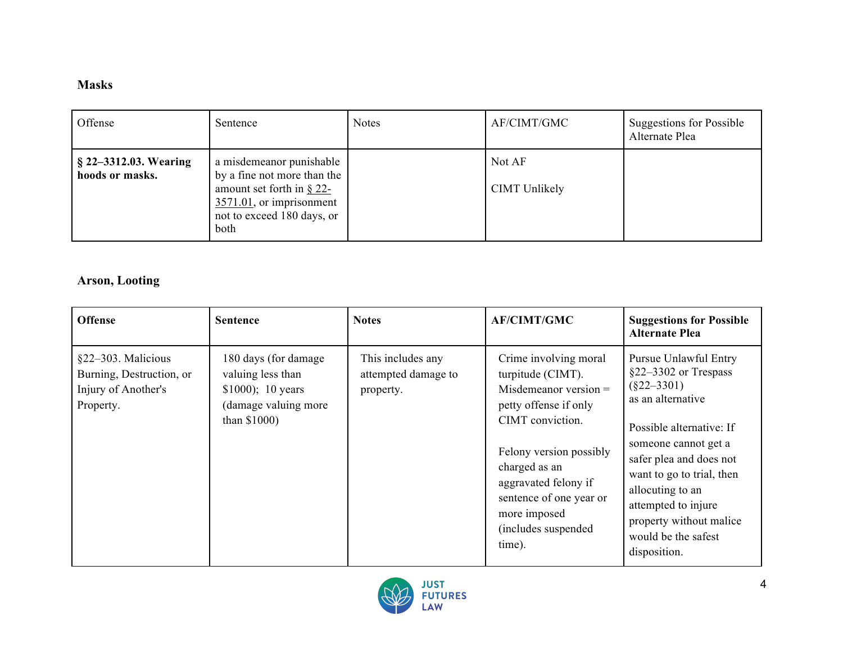#### **Masks**

| Offense                                  | Sentence                                                                                                                                                  | <b>Notes</b> | AF/CIMT/GMC                    | <b>Suggestions for Possible</b><br>Alternate Plea |
|------------------------------------------|-----------------------------------------------------------------------------------------------------------------------------------------------------------|--------------|--------------------------------|---------------------------------------------------|
| § 22–3312.03. Wearing<br>hoods or masks. | a misdemeanor punishable<br>by a fine not more than the<br>amount set forth in $\S$ 22-<br>3571.01, or imprisonment<br>not to exceed 180 days, or<br>both |              | Not AF<br><b>CIMT</b> Unlikely |                                                   |

### **Arson, Looting**

| <b>Offense</b>                                                                     | <b>Sentence</b>                                                                                            | <b>Notes</b>                                          | <b>AF/CIMT/GMC</b>                                                                                                                                                                                                                                                  | <b>Suggestions for Possible</b><br><b>Alternate Plea</b>                                                                                                                                                                                                                                                       |
|------------------------------------------------------------------------------------|------------------------------------------------------------------------------------------------------------|-------------------------------------------------------|---------------------------------------------------------------------------------------------------------------------------------------------------------------------------------------------------------------------------------------------------------------------|----------------------------------------------------------------------------------------------------------------------------------------------------------------------------------------------------------------------------------------------------------------------------------------------------------------|
| §22–303. Malicious<br>Burning, Destruction, or<br>Injury of Another's<br>Property. | 180 days (for damage)<br>valuing less than<br>$$1000$ ; 10 years<br>(damage valuing more<br>than $$1000$ ) | This includes any<br>attempted damage to<br>property. | Crime involving moral<br>turpitude (CIMT).<br>Misdemeanor version $=$<br>petty offense if only<br>CIMT conviction.<br>Felony version possibly<br>charged as an<br>aggravated felony if<br>sentence of one year or<br>more imposed<br>(includes suspended)<br>time). | Pursue Unlawful Entry<br>$§22-3302$ or Trespass<br>$(\$22-3301)$<br>as an alternative<br>Possible alternative: If<br>someone cannot get a<br>safer plea and does not<br>want to go to trial, then<br>allocuting to an<br>attempted to injure<br>property without malice<br>would be the safest<br>disposition. |

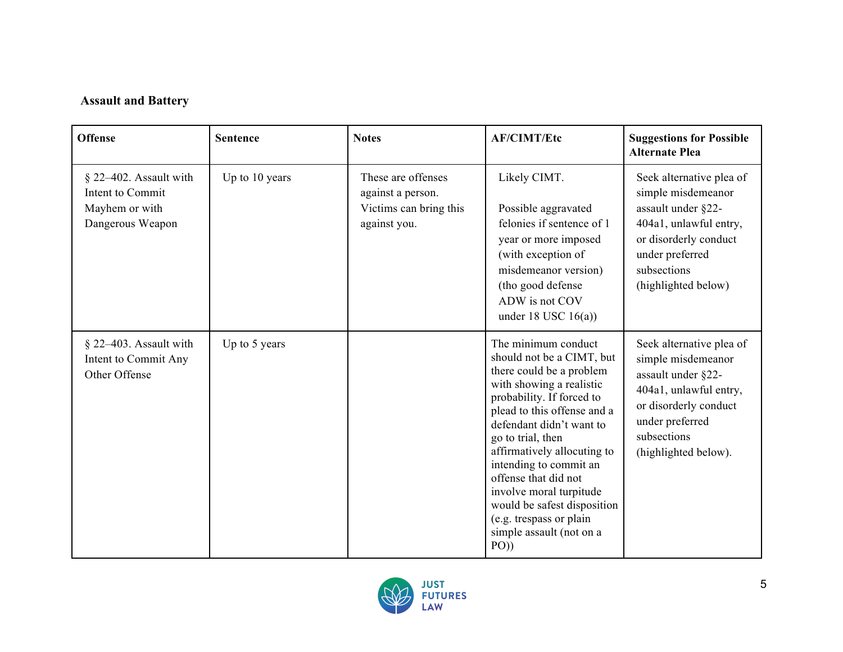# **Assault and Battery**

| <b>Offense</b>                                                                   | <b>Sentence</b> | <b>Notes</b>                                                                      | <b>AF/CIMT/Etc</b>                                                                                                                                                                                                                                                                                                                                                                                                               | <b>Suggestions for Possible</b><br><b>Alternate Plea</b>                                                                                                                          |
|----------------------------------------------------------------------------------|-----------------|-----------------------------------------------------------------------------------|----------------------------------------------------------------------------------------------------------------------------------------------------------------------------------------------------------------------------------------------------------------------------------------------------------------------------------------------------------------------------------------------------------------------------------|-----------------------------------------------------------------------------------------------------------------------------------------------------------------------------------|
| § 22–402. Assault with<br>Intent to Commit<br>Mayhem or with<br>Dangerous Weapon | Up to 10 years  | These are offenses<br>against a person.<br>Victims can bring this<br>against you. | Likely CIMT.<br>Possible aggravated<br>felonies if sentence of 1<br>year or more imposed<br>(with exception of<br>misdemeanor version)<br>(tho good defense<br>ADW is not COV<br>under 18 USC $16(a)$ )                                                                                                                                                                                                                          | Seek alternative plea of<br>simple misdemeanor<br>assault under §22-<br>404a1, unlawful entry,<br>or disorderly conduct<br>under preferred<br>subsections<br>(highlighted below)  |
| § 22-403. Assault with<br>Intent to Commit Any<br>Other Offense                  | Up to 5 years   |                                                                                   | The minimum conduct<br>should not be a CIMT, but<br>there could be a problem<br>with showing a realistic<br>probability. If forced to<br>plead to this offense and a<br>defendant didn't want to<br>go to trial, then<br>affirmatively allocuting to<br>intending to commit an<br>offense that did not<br>involve moral turpitude<br>would be safest disposition<br>(e.g. trespass or plain)<br>simple assault (not on a<br>PO() | Seek alternative plea of<br>simple misdemeanor<br>assault under §22-<br>404a1, unlawful entry,<br>or disorderly conduct<br>under preferred<br>subsections<br>(highlighted below). |

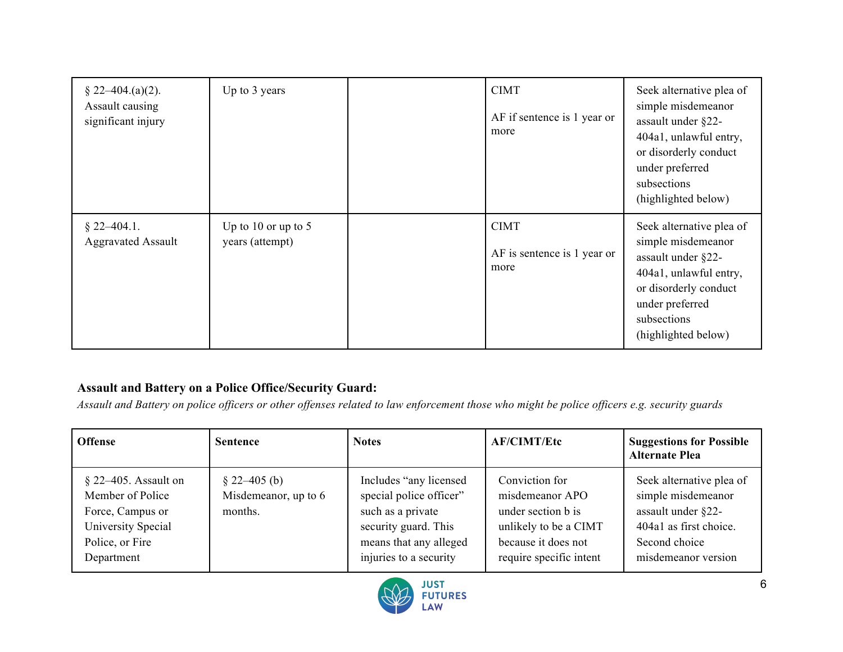| $\S$ 22–404.(a)(2).<br>Assault causing<br>significant injury | Up to 3 years                          | <b>CIMT</b><br>AF if sentence is 1 year or<br>more | Seek alternative plea of<br>simple misdemeanor<br>assault under §22-<br>404a1, unlawful entry,<br>or disorderly conduct<br>under preferred<br>subsections<br>(highlighted below) |
|--------------------------------------------------------------|----------------------------------------|----------------------------------------------------|----------------------------------------------------------------------------------------------------------------------------------------------------------------------------------|
| $$22-404.1.$<br><b>Aggravated Assault</b>                    | Up to 10 or up to 5<br>years (attempt) | <b>CIMT</b><br>AF is sentence is 1 year or<br>more | Seek alternative plea of<br>simple misdemeanor<br>assault under §22-<br>404a1, unlawful entry,<br>or disorderly conduct<br>under preferred<br>subsections<br>(highlighted below) |

#### **Assault and Battery on a Police Office/Security Guard:**

*Assault and Battery on police officers or other offenses related to law enforcement those who might be police officers e.g. security guards*

| <b>Offense</b>                                                                                                         | <b>Sentence</b>                                    | <b>Notes</b>                                                                                                                                        | <b>AF/CIMT/Etc</b>                                                                                                                 | <b>Suggestions for Possible</b><br><b>Alternate Plea</b>                                                                               |
|------------------------------------------------------------------------------------------------------------------------|----------------------------------------------------|-----------------------------------------------------------------------------------------------------------------------------------------------------|------------------------------------------------------------------------------------------------------------------------------------|----------------------------------------------------------------------------------------------------------------------------------------|
| $\S$ 22–405. Assault on<br>Member of Police<br>Force, Campus or<br>University Special<br>Police, or Fire<br>Department | $\S$ 22–405 (b)<br>Misdemeanor, up to 6<br>months. | Includes "any licensed"<br>special police officer"<br>such as a private<br>security guard. This<br>means that any alleged<br>injuries to a security | Conviction for<br>misdemeanor APO<br>under section b is<br>unlikely to be a CIMT<br>because it does not<br>require specific intent | Seek alternative plea of<br>simple misdemeanor<br>assault under §22-<br>404a1 as first choice.<br>Second choice<br>misdemeanor version |

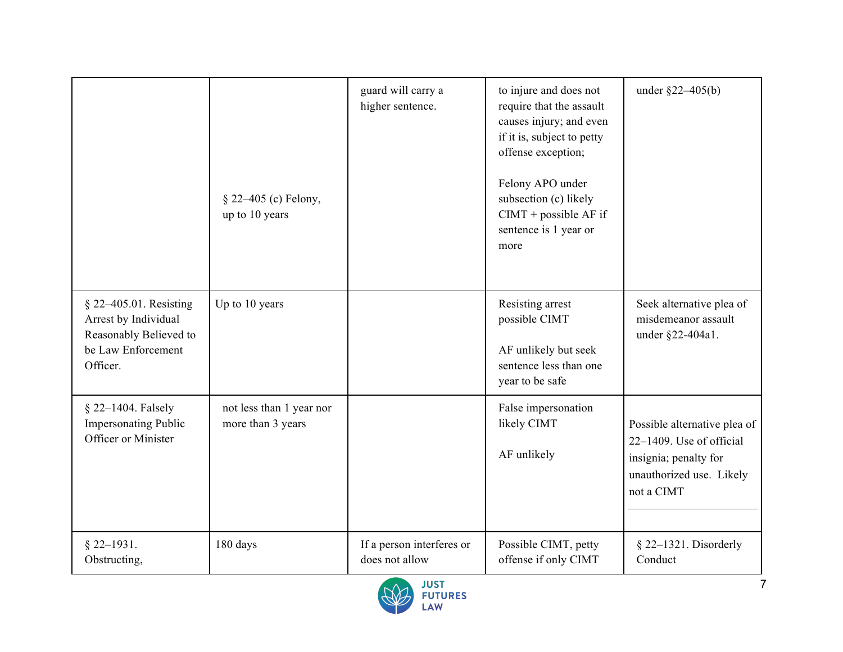|                                                                                                            | § 22–405 (c) Felony,<br>up to 10 years        | guard will carry a<br>higher sentence.      | to injure and does not<br>require that the assault<br>causes injury; and even<br>if it is, subject to petty<br>offense exception;<br>Felony APO under<br>subsection (c) likely<br>$CIMT + possible AF$ if<br>sentence is 1 year or<br>more | under $\S22 - 405(b)$                                                                                                       |
|------------------------------------------------------------------------------------------------------------|-----------------------------------------------|---------------------------------------------|--------------------------------------------------------------------------------------------------------------------------------------------------------------------------------------------------------------------------------------------|-----------------------------------------------------------------------------------------------------------------------------|
| § 22–405.01. Resisting<br>Arrest by Individual<br>Reasonably Believed to<br>be Law Enforcement<br>Officer. | Up to 10 years                                |                                             | Resisting arrest<br>possible CIMT<br>AF unlikely but seek<br>sentence less than one<br>year to be safe                                                                                                                                     | Seek alternative plea of<br>misdemeanor assault<br>under §22-404a1.                                                         |
| § 22-1404. Falsely<br><b>Impersonating Public</b><br>Officer or Minister                                   | not less than 1 year nor<br>more than 3 years |                                             | False impersonation<br>likely CIMT<br>AF unlikely                                                                                                                                                                                          | Possible alternative plea of<br>22-1409. Use of official<br>insignia; penalty for<br>unauthorized use. Likely<br>not a CIMT |
| $§$ 22-1931.<br>Obstructing,                                                                               | 180 days                                      | If a person interferes or<br>does not allow | Possible CIMT, petty<br>offense if only CIMT                                                                                                                                                                                               | § 22-1321. Disorderly<br>Conduct                                                                                            |

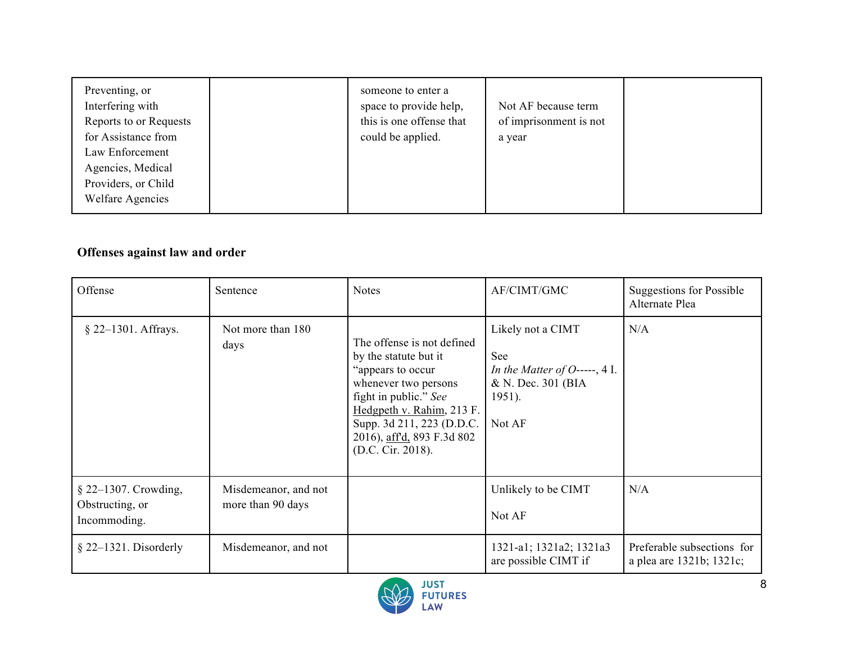| Preventing, or<br>Interfering with<br>Reports to or Requests<br>for Assistance from<br>Law Enforcement<br>Agencies, Medical<br>Providers, or Child<br><b>Welfare Agencies</b> | someone to enter a<br>space to provide help,<br>this is one offense that<br>could be applied. | Not AF because term<br>of imprisonment is not<br>a year |  |
|-------------------------------------------------------------------------------------------------------------------------------------------------------------------------------|-----------------------------------------------------------------------------------------------|---------------------------------------------------------|--|
|-------------------------------------------------------------------------------------------------------------------------------------------------------------------------------|-----------------------------------------------------------------------------------------------|---------------------------------------------------------|--|

### **Offenses against law and order**

| Offense                                                 | Sentence                                  | <b>Notes</b>                                                                                                                                                                                                                          | AF/CIMT/GMC                                                                                          | <b>Suggestions for Possible</b><br>Alternate Plea      |
|---------------------------------------------------------|-------------------------------------------|---------------------------------------------------------------------------------------------------------------------------------------------------------------------------------------------------------------------------------------|------------------------------------------------------------------------------------------------------|--------------------------------------------------------|
| $§$ 22–1301. Affrays.                                   | Not more than 180<br>days                 | The offense is not defined<br>by the statute but it<br>"appears to occur<br>whenever two persons<br>fight in public." See<br>Hedgpeth v. Rahim, 213 F.<br>Supp. 3d 211, 223 (D.D.C.<br>2016), affd, 893 F.3d 802<br>(D.C. Cir. 2018). | Likely not a CIMT<br>See<br>In the Matter of O-----, 4 I.<br>& N. Dec. 301 (BIA)<br>1951).<br>Not AF | N/A                                                    |
| § 22-1307. Crowding,<br>Obstructing, or<br>Incommoding. | Misdemeanor, and not<br>more than 90 days |                                                                                                                                                                                                                                       | Unlikely to be CIMT<br>Not AF                                                                        | N/A                                                    |
| $§$ 22–1321. Disorderly                                 | Misdemeanor, and not                      |                                                                                                                                                                                                                                       | 1321-a1; 1321a2; 1321a3<br>are possible CIMT if                                                      | Preferable subsections for<br>a plea are 1321b; 1321c; |

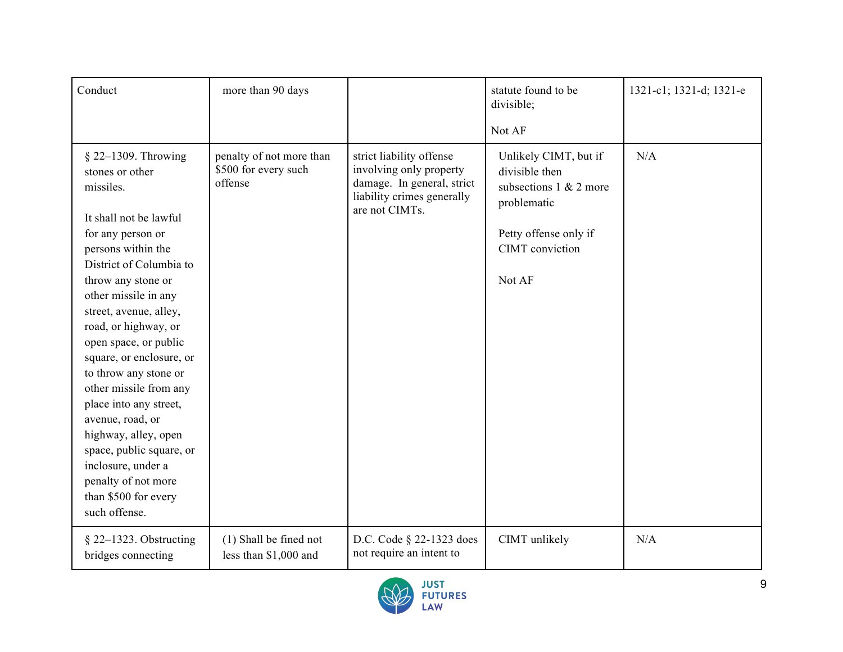| Conduct                                                                                                                                                                                                                                                                                                                                                                                                                                                                                                                                               | more than 90 days                                           |                                                                                                                                   | statute found to be<br>divisible;<br>Not AF                                                                                               | 1321-c1; 1321-d; 1321-e |
|-------------------------------------------------------------------------------------------------------------------------------------------------------------------------------------------------------------------------------------------------------------------------------------------------------------------------------------------------------------------------------------------------------------------------------------------------------------------------------------------------------------------------------------------------------|-------------------------------------------------------------|-----------------------------------------------------------------------------------------------------------------------------------|-------------------------------------------------------------------------------------------------------------------------------------------|-------------------------|
| $§$ 22-1309. Throwing<br>stones or other<br>missiles.<br>It shall not be lawful<br>for any person or<br>persons within the<br>District of Columbia to<br>throw any stone or<br>other missile in any<br>street, avenue, alley,<br>road, or highway, or<br>open space, or public<br>square, or enclosure, or<br>to throw any stone or<br>other missile from any<br>place into any street,<br>avenue, road, or<br>highway, alley, open<br>space, public square, or<br>inclosure, under a<br>penalty of not more<br>than \$500 for every<br>such offense. | penalty of not more than<br>\$500 for every such<br>offense | strict liability offense<br>involving only property<br>damage. In general, strict<br>liability crimes generally<br>are not CIMTs. | Unlikely CIMT, but if<br>divisible then<br>subsections $1 \& 2$ more<br>problematic<br>Petty offense only if<br>CIMT conviction<br>Not AF | N/A                     |
| $\S$ 22–1323. Obstructing<br>bridges connecting                                                                                                                                                                                                                                                                                                                                                                                                                                                                                                       | (1) Shall be fined not<br>less than \$1,000 and             | D.C. Code § 22-1323 does<br>not require an intent to                                                                              | CIMT unlikely                                                                                                                             | N/A                     |

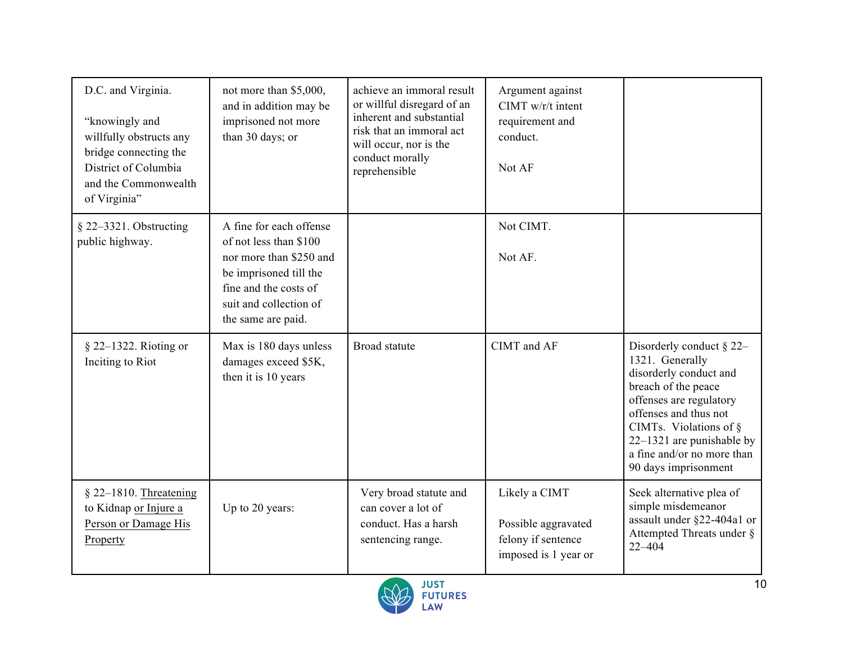| D.C. and Virginia.<br>"knowingly and<br>willfully obstructs any<br>bridge connecting the<br>District of Columbia<br>and the Commonwealth<br>of Virginia" | not more than \$5,000,<br>and in addition may be<br>imprisoned not more<br>than 30 days; or                                                                                     | achieve an immoral result<br>or willful disregard of an<br>inherent and substantial<br>risk that an immoral act<br>will occur, nor is the<br>conduct morally<br>reprehensible | Argument against<br>$CIMT w/r/t$ intent<br>requirement and<br>conduct.<br>Not AF   |                                                                                                                                                                                                                                                                       |
|----------------------------------------------------------------------------------------------------------------------------------------------------------|---------------------------------------------------------------------------------------------------------------------------------------------------------------------------------|-------------------------------------------------------------------------------------------------------------------------------------------------------------------------------|------------------------------------------------------------------------------------|-----------------------------------------------------------------------------------------------------------------------------------------------------------------------------------------------------------------------------------------------------------------------|
| § 22-3321. Obstructing<br>public highway.                                                                                                                | A fine for each offense<br>of not less than \$100<br>nor more than \$250 and<br>be imprisoned till the<br>fine and the costs of<br>suit and collection of<br>the same are paid. |                                                                                                                                                                               | Not CIMT.<br>Not AF.                                                               |                                                                                                                                                                                                                                                                       |
| $\S$ 22–1322. Rioting or<br>Inciting to Riot                                                                                                             | Max is 180 days unless<br>damages exceed \$5K,<br>then it is 10 years                                                                                                           | Broad statute                                                                                                                                                                 | CIMT and AF                                                                        | Disorderly conduct $\S$ 22-<br>1321. Generally<br>disorderly conduct and<br>breach of the peace<br>offenses are regulatory<br>offenses and thus not<br>CIMTs. Violations of $\S$<br>$22-1321$ are punishable by<br>a fine and/or no more than<br>90 days imprisonment |
| $§$ 22-1810. Threatening<br>to Kidnap or Injure a<br>Person or Damage His<br>Property                                                                    | Up to 20 years:                                                                                                                                                                 | Very broad statute and<br>can cover a lot of<br>conduct. Has a harsh<br>sentencing range.                                                                                     | Likely a CIMT<br>Possible aggravated<br>felony if sentence<br>imposed is 1 year or | Seek alternative plea of<br>simple misdemeanor<br>assault under §22-404a1 or<br>Attempted Threats under §<br>$22 - 404$                                                                                                                                               |

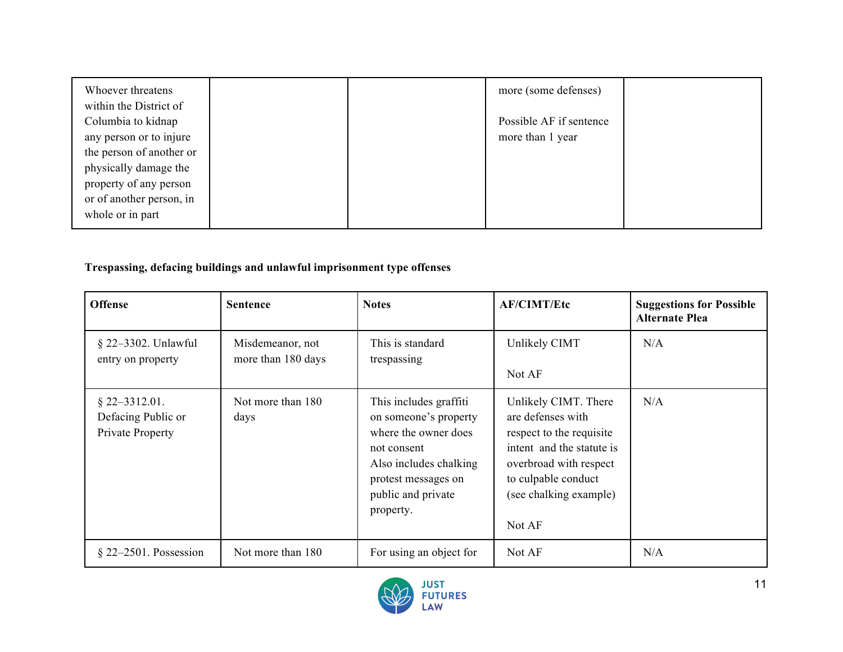| Whoever threatens<br>within the District of |  | more (some defenses)    |  |
|---------------------------------------------|--|-------------------------|--|
| Columbia to kidnap                          |  | Possible AF if sentence |  |
| any person or to injure                     |  | more than 1 year        |  |
| the person of another or                    |  |                         |  |
| physically damage the                       |  |                         |  |
| property of any person                      |  |                         |  |
| or of another person, in                    |  |                         |  |
| whole or in part                            |  |                         |  |

### **Trespassing, defacing buildings and unlawful imprisonment type offenses**

| <b>Offense</b>                                            | <b>Sentence</b>                        | <b>Notes</b>                                                                                                                                                               | <b>AF/CIMT/Etc</b>                                                                                                                                                                      | <b>Suggestions for Possible</b><br><b>Alternate Plea</b> |
|-----------------------------------------------------------|----------------------------------------|----------------------------------------------------------------------------------------------------------------------------------------------------------------------------|-----------------------------------------------------------------------------------------------------------------------------------------------------------------------------------------|----------------------------------------------------------|
| § 22-3302. Unlawful<br>entry on property                  | Misdemeanor, not<br>more than 180 days | This is standard<br>trespassing                                                                                                                                            | Unlikely CIMT<br>Not AF                                                                                                                                                                 | N/A                                                      |
| $§$ 22-3312.01.<br>Defacing Public or<br>Private Property | Not more than 180<br>days              | This includes graffiti<br>on someone's property<br>where the owner does<br>not consent<br>Also includes chalking<br>protest messages on<br>public and private<br>property. | Unlikely CIMT. There<br>are defenses with<br>respect to the requisite<br>intent and the statute is<br>overbroad with respect<br>to culpable conduct<br>(see chalking example)<br>Not AF | N/A                                                      |
| $§$ 22–2501. Possession                                   | Not more than 180                      | For using an object for                                                                                                                                                    | Not AF                                                                                                                                                                                  | N/A                                                      |

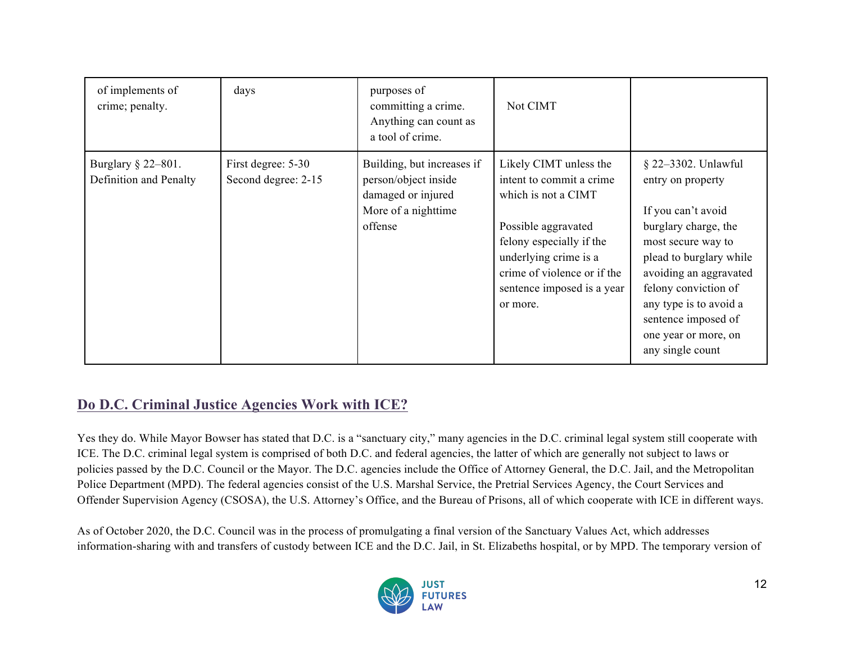| of implements of<br>crime; penalty.          | days                                      | purposes of<br>committing a crime.<br>Anything can count as<br>a tool of crime.                            | Not CIMT                                                                                                                                                                                                                       |                                                                                                                                                                                                                                                                                        |
|----------------------------------------------|-------------------------------------------|------------------------------------------------------------------------------------------------------------|--------------------------------------------------------------------------------------------------------------------------------------------------------------------------------------------------------------------------------|----------------------------------------------------------------------------------------------------------------------------------------------------------------------------------------------------------------------------------------------------------------------------------------|
| Burglary § 22-801.<br>Definition and Penalty | First degree: 5-30<br>Second degree: 2-15 | Building, but increases if<br>person/object inside<br>damaged or injured<br>More of a nighttime<br>offense | Likely CIMT unless the<br>intent to commit a crime<br>which is not a CIMT<br>Possible aggravated<br>felony especially if the<br>underlying crime is a<br>crime of violence or if the<br>sentence imposed is a year<br>or more. | § 22-3302. Unlawful<br>entry on property<br>If you can't avoid<br>burglary charge, the<br>most secure way to<br>plead to burglary while<br>avoiding an aggravated<br>felony conviction of<br>any type is to avoid a<br>sentence imposed of<br>one year or more, on<br>any single count |

# **Do D.C. Criminal Justice Agencies Work with ICE?**

Yes they do. While Mayor Bowser has stated that D.C. is a "sanctuary city," many agencies in the D.C. criminal legal system still cooperate with ICE. The D.C. criminal legal system is comprised of both D.C. and federal agencies, the latter of which are generally not subject to laws or policies passed by the D.C. Council or the Mayor. The D.C. agencies include the Office of Attorney General, the D.C. Jail, and the Metropolitan Police Department (MPD). The federal agencies consist of the U.S. Marshal Service, the Pretrial Services Agency, the Court Services and Offender Supervision Agency (CSOSA), the U.S. Attorney's Office, and the Bureau of Prisons, all of which cooperate with ICE in different ways.

As of October 2020, the D.C. Council was in the process of promulgating a final version of the Sanctuary Values Act, which addresses information-sharing with and transfers of custody between ICE and the D.C. Jail, in St. Elizabeths hospital, or by MPD. The temporary version of

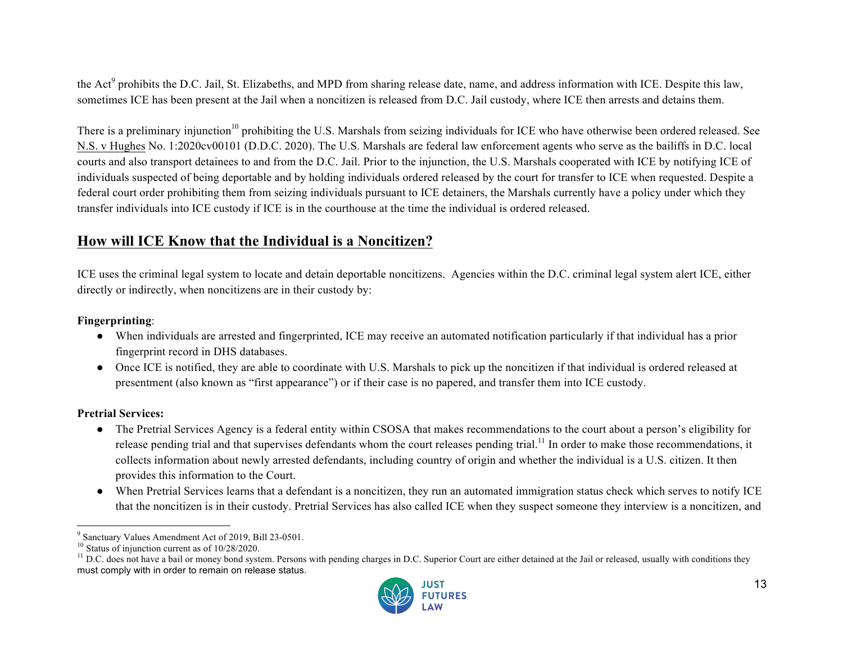the Act<sup>9</sup> prohibits the D.C. Jail, St. Elizabeths, and MPD from sharing release date, name, and address information with ICE. Despite this law, sometimes ICE has been present at the Jail when a noncitizen is released from D.C. Jail custody, where ICE then arrests and detains them.

There is a preliminary injunction<sup>10</sup> prohibiting the U.S. Marshals from seizing individuals for ICE who have otherwise been ordered released. See N.S. v Hughes No. 1:2020cv00101 (D.D.C. 2020). The U.S. Marshals are federal law enforcement agents who serve as the bailiffs in D.C. local courts and also transport detainees to and from the D.C. Jail. Prior to the injunction, the U.S. Marshals cooperated with ICE by notifying ICE of individuals suspected of being deportable and by holding individuals ordered released by the court for transfer to ICE when requested. Despite a federal court order prohibiting them from seizing individuals pursuant to ICE detainers, the Marshals currently have a policy under which they transfer individuals into ICE custody if ICE is in the courthouse at the time the individual is ordered released.

### **How will ICE Know that the Individual is a Noncitizen?**

ICE uses the criminal legal system to locate and detain deportable noncitizens. Agencies within the D.C. criminal legal system alert ICE, either directly or indirectly, when noncitizens are in their custody by:

#### **Fingerprinting**:

- When individuals are arrested and fingerprinted, ICE may receive an automated notification particularly if that individual has a prior fingerprint record in DHS databases.
- Once ICE is notified, they are able to coordinate with U.S. Marshals to pick up the noncitizen if that individual is ordered released at presentment (also known as "first appearance") or if their case is no papered, and transfer them into ICE custody.

#### **Pretrial Services:**

 $\overline{a}$ 

- The Pretrial Services Agency is a federal entity within CSOSA that makes recommendations to the court about a person's eligibility for release pending trial and that supervises defendants whom the court releases pending trial.<sup>11</sup> In order to make those recommendations, it collects information about newly arrested defendants, including country of origin and whether the individual is a U.S. citizen. It then provides this information to the Court.
- When Pretrial Services learns that a defendant is a noncitizen, they run an automated immigration status check which serves to notify ICE that the noncitizen is in their custody. Pretrial Services has also called ICE when they suspect someone they interview is a noncitizen, and

<sup>&</sup>lt;sup>9</sup> Sanctuary Values Amendment Act of 2019, Bill 23-0501.<br><sup>10</sup> Status of injunction current as of 10/28/2020.<br><sup>11</sup> D.C. does not have a bail or money bond system. Persons with pending charges in D.C. Superior Court are ei must comply with in order to remain on release status.

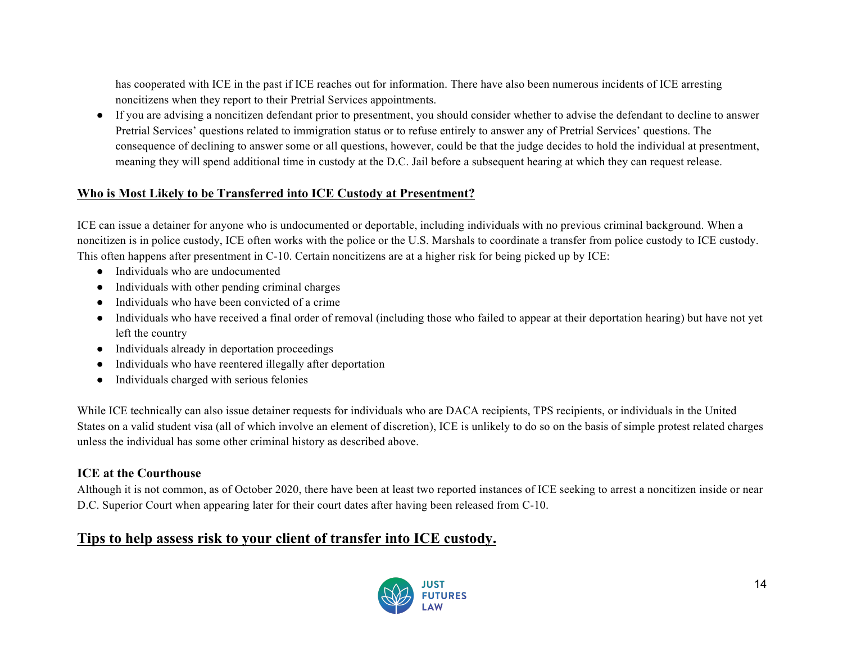has cooperated with ICE in the past if ICE reaches out for information. There have also been numerous incidents of ICE arresting noncitizens when they report to their Pretrial Services appointments.

● If you are advising a noncitizen defendant prior to presentment, you should consider whether to advise the defendant to decline to answer Pretrial Services' questions related to immigration status or to refuse entirely to answer any of Pretrial Services' questions. The consequence of declining to answer some or all questions, however, could be that the judge decides to hold the individual at presentment, meaning they will spend additional time in custody at the D.C. Jail before a subsequent hearing at which they can request release.

#### **Who is Most Likely to be Transferred into ICE Custody at Presentment?**

ICE can issue a detainer for anyone who is undocumented or deportable, including individuals with no previous criminal background. When a noncitizen is in police custody, ICE often works with the police or the U.S. Marshals to coordinate a transfer from police custody to ICE custody. This often happens after presentment in C-10. Certain noncitizens are at a higher risk for being picked up by ICE:

- Individuals who are undocumented
- Individuals with other pending criminal charges
- Individuals who have been convicted of a crime
- Individuals who have received a final order of removal (including those who failed to appear at their deportation hearing) but have not yet left the country
- Individuals already in deportation proceedings
- Individuals who have reentered illegally after deportation
- Individuals charged with serious felonies

While ICE technically can also issue detainer requests for individuals who are DACA recipients, TPS recipients, or individuals in the United States on a valid student visa (all of which involve an element of discretion), ICE is unlikely to do so on the basis of simple protest related charges unless the individual has some other criminal history as described above.

#### **ICE at the Courthouse**

Although it is not common, as of October 2020, there have been at least two reported instances of ICE seeking to arrest a noncitizen inside or near D.C. Superior Court when appearing later for their court dates after having been released from C-10.

# **Tips to help assess risk to your client of transfer into ICE custody.**

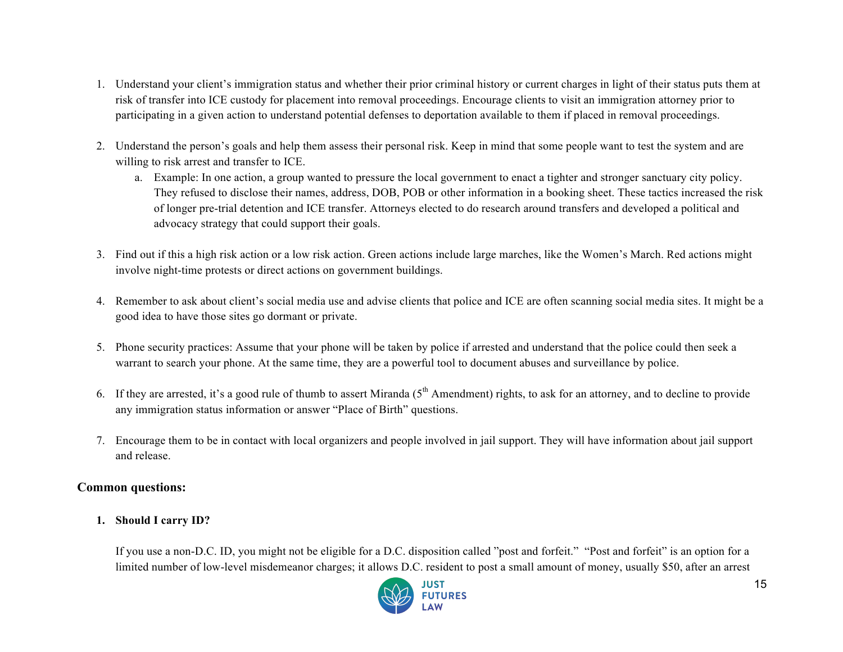- 1. Understand your client's immigration status and whether their prior criminal history or current charges in light of their status puts them at risk of transfer into ICE custody for placement into removal proceedings. Encourage clients to visit an immigration attorney prior to participating in a given action to understand potential defenses to deportation available to them if placed in removal proceedings.
- 2. Understand the person's goals and help them assess their personal risk. Keep in mind that some people want to test the system and are willing to risk arrest and transfer to ICE.
	- a. Example: In one action, a group wanted to pressure the local government to enact a tighter and stronger sanctuary city policy. They refused to disclose their names, address, DOB, POB or other information in a booking sheet. These tactics increased the risk of longer pre-trial detention and ICE transfer. Attorneys elected to do research around transfers and developed a political and advocacy strategy that could support their goals.
- 3. Find out if this a high risk action or a low risk action. Green actions include large marches, like the Women's March. Red actions might involve night-time protests or direct actions on government buildings.
- 4. Remember to ask about client's social media use and advise clients that police and ICE are often scanning social media sites. It might be a good idea to have those sites go dormant or private.
- 5. Phone security practices: Assume that your phone will be taken by police if arrested and understand that the police could then seek a warrant to search your phone. At the same time, they are a powerful tool to document abuses and surveillance by police.
- 6. If they are arrested, it's a good rule of thumb to assert Miranda  $(5<sup>th</sup>$  Amendment) rights, to ask for an attorney, and to decline to provide any immigration status information or answer "Place of Birth" questions.
- 7. Encourage them to be in contact with local organizers and people involved in jail support. They will have information about jail support and release.

#### **Common questions:**

**1. Should I carry ID?**

If you use a non-D.C. ID, you might not be eligible for a D.C. disposition called "post and forfeit." "Post and forfeit" is an option for a limited number of low-level misdemeanor charges; it allows D.C. resident to post a small amount of money, usually \$50, after an arrest

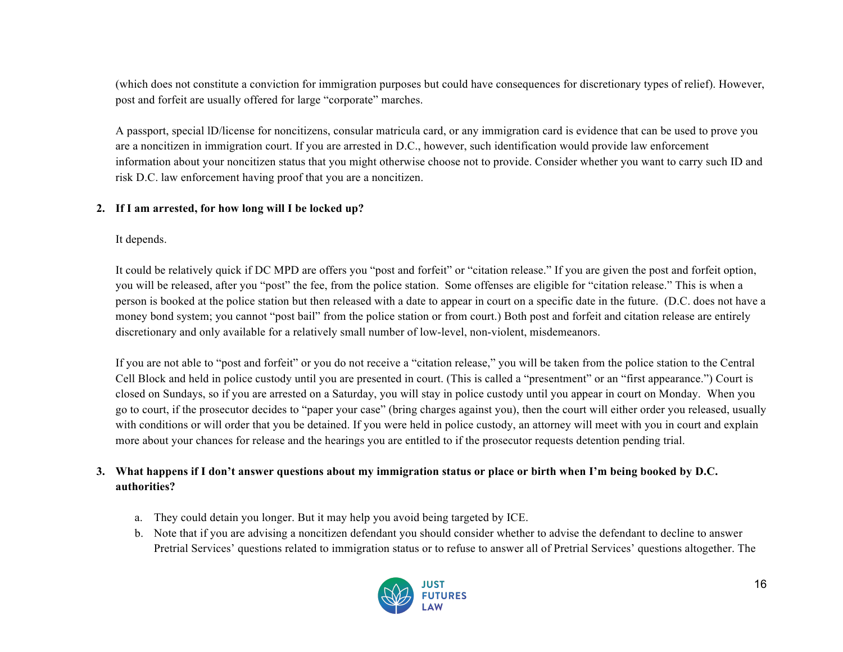(which does not constitute a conviction for immigration purposes but could have consequences for discretionary types of relief). However, post and forfeit are usually offered for large "corporate" marches.

A passport, special lD/license for noncitizens, consular matricula card, or any immigration card is evidence that can be used to prove you are a noncitizen in immigration court. If you are arrested in D.C., however, such identification would provide law enforcement information about your noncitizen status that you might otherwise choose not to provide. Consider whether you want to carry such ID and risk D.C. law enforcement having proof that you are a noncitizen.

#### **2. If I am arrested, for how long will I be locked up?**

It depends.

It could be relatively quick if DC MPD are offers you "post and forfeit" or "citation release." If you are given the post and forfeit option, you will be released, after you "post" the fee, from the police station. Some offenses are eligible for "citation release." This is when a person is booked at the police station but then released with a date to appear in court on a specific date in the future. (D.C. does not have a money bond system; you cannot "post bail" from the police station or from court.) Both post and forfeit and citation release are entirely discretionary and only available for a relatively small number of low-level, non-violent, misdemeanors.

If you are not able to "post and forfeit" or you do not receive a "citation release," you will be taken from the police station to the Central Cell Block and held in police custody until you are presented in court. (This is called a "presentment" or an "first appearance.") Court is closed on Sundays, so if you are arrested on a Saturday, you will stay in police custody until you appear in court on Monday. When you go to court, if the prosecutor decides to "paper your case" (bring charges against you), then the court will either order you released, usually with conditions or will order that you be detained. If you were held in police custody, an attorney will meet with you in court and explain more about your chances for release and the hearings you are entitled to if the prosecutor requests detention pending trial.

#### **3. What happens if I don't answer questions about my immigration status or place or birth when I'm being booked by D.C. authorities?**

- a. They could detain you longer. But it may help you avoid being targeted by ICE.
- b. Note that if you are advising a noncitizen defendant you should consider whether to advise the defendant to decline to answer Pretrial Services' questions related to immigration status or to refuse to answer all of Pretrial Services' questions altogether. The